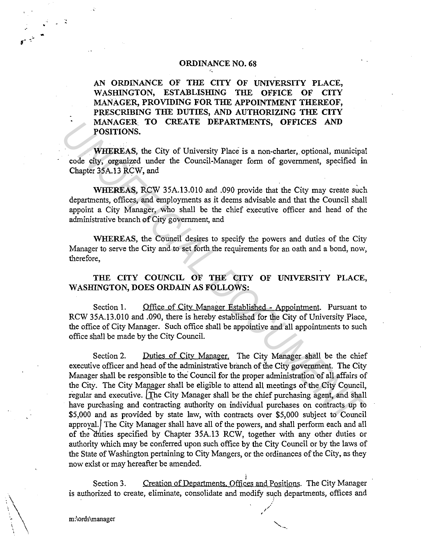## ORDINANCE NO. 68

AN ORDINANCE OF THE CITY OF UNIVERSITY PLACE, WASHINGTON, ESTABLISHING THE OFFICE OF CITY MANAGER, PROVIDING FOR THE APPOINTMENT THEREOF, PRESCRIBING THE DUTIES, AND AUTHORIZING THE CITY MANAGER TO CREATE DEPARTMENTS, OFFICES AND POSITIONS.

WHEREAS, the City of University Place is a non-charter, optional, municipal code city, organized under the Council-Manager form of government, specified in Chapter 35A.13 RCW, and

WHEREAS, RCW 35A.13.010 and .090 provide that the City may create such departments, offices, and employments as it deems advisable and that the Council shall appoint a City Manager, who shall be the chief executive officer and head of the administrative branch of City government, and

WHEREAS, the Council desires to specify the powers and duties of the City Manager to serve the City and to set forth the requirements for an oath and a bond, now, therefore,

THE CITY COUNCIL OF THE CITY OF UNIVERSITY PLACE, WASHINGTON, DOES ORDAIN AS FOLLOWS:

Section 1. Office of City Manager Established - Appointment. Pursuant to RCW 35A.13.010 and .090, there is hereby established for the City of University Place, the office of City Manager. Such office shall be appointive and all appointments to such office shall be made by the City Council.

Section 2. Duties of City Manager. The City Manager shall be the chief executive officer and head of the administrative branch of the City government. The City Manager shall be responsible to the Council for the proper administration of all affairs of the City. The City Manager shall be eligible to attend all meetings of the City Council, regular and executive. The City Manager shall be the chief purchasing agent, and shall have purchasing and contracting authority on individual purchases on contracts up to \$5,000 and as provided by state law, with contracts over \$5,000 subject to Council approval./ The City Manager shall have all of the powers, and shall perform each and all of the duties specified by Chapter 35A.13 RCW, together with any other duties or authority which may be conferred upon such office by the City Council or by the laws of the State of Washington pertaining to City Mangers, or the ordinances of the City, as they now exist or may hereafter be amended. MANAGER TO CREATE DEPARTMENTS, OFFICES AND<br> **POSITIONS.**<br> **WHEREAS**, the City of University Place is a non-charter, optional, municipal<br>
code diy, organized under the Council-Manager form of government, specified is<br>
Chapt

i<br>Section 3. Creation of Departments, Offices and Positions. The City Manager is authorized to create, eliminate, consolidate and modify such departments, offices and

 $\searrow$  .

 $\mathbb{C}$